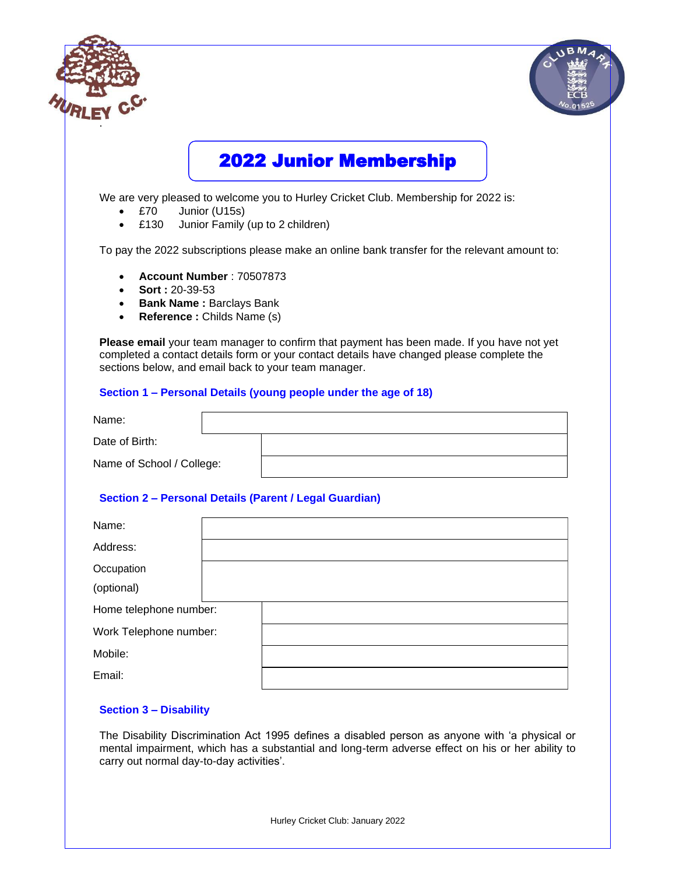

The Disability Discrimination Act 1995 defines a disabled person as anyone with 'a physical or mental impairment, which has a substantial and long-term adverse effect on his or her ability to carry out normal day-to-day activities'.

Hurley Cricket Club: January 2022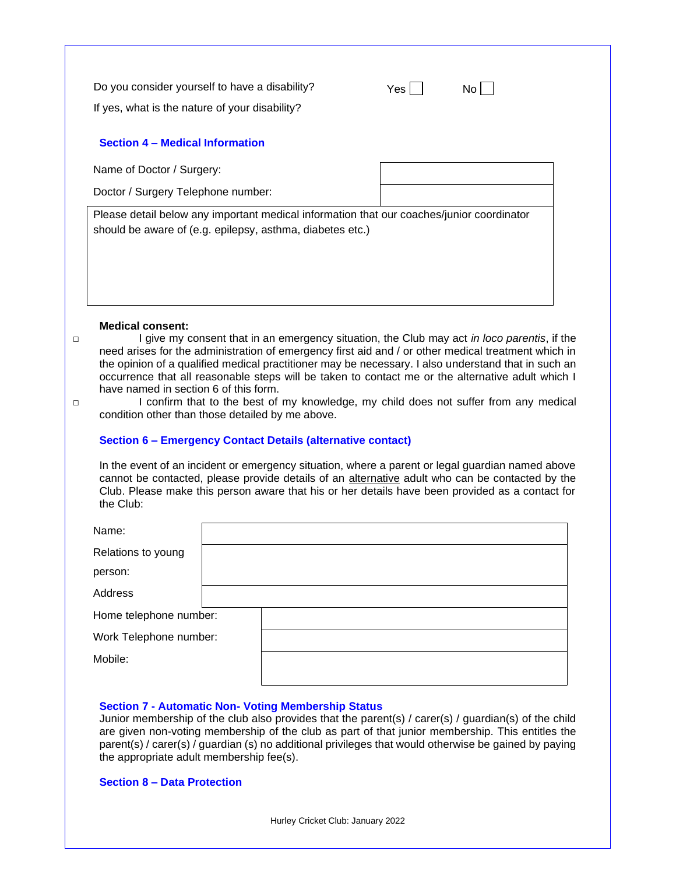| Do you consider yourself to have a disability? |  |
|------------------------------------------------|--|
|                                                |  |

If yes, what is the nature of your disability?

# **Section 4 – Medical Information**

Name of Doctor / Surgery:

Doctor / Surgery Telephone number:

Please detail below any important medical information that our coaches/junior coordinator should be aware of (e.g. epilepsy, asthma, diabetes etc.)

 $Yes \Box \qquad No \Box$ 

## **Medical consent:**

□ I give my consent that in an emergency situation, the Club may act *in loco parentis*, if the need arises for the administration of emergency first aid and / or other medical treatment which in the opinion of a qualified medical practitioner may be necessary. I also understand that in such an occurrence that all reasonable steps will be taken to contact me or the alternative adult which I have named in section 6 of this form.

□ I confirm that to the best of my knowledge, my child does not suffer from any medical condition other than those detailed by me above.

# **Section 6 – Emergency Contact Details (alternative contact)**

In the event of an incident or emergency situation, where a parent or legal guardian named above cannot be contacted, please provide details of an alternative adult who can be contacted by the Club. Please make this person aware that his or her details have been provided as a contact for the Club:

| Name:                  |  |
|------------------------|--|
| Relations to young     |  |
| person:                |  |
| Address                |  |
| Home telephone number: |  |
| Work Telephone number: |  |
| Mobile:                |  |
|                        |  |

## **Section 7 - Automatic Non- Voting Membership Status**

Junior membership of the club also provides that the parent(s) / carer(s) / guardian(s) of the child are given non-voting membership of the club as part of that junior membership. This entitles the parent(s) / carer(s) / guardian (s) no additional privileges that would otherwise be gained by paying the appropriate adult membership fee(s).

**Section 8 – Data Protection**

Hurley Cricket Club: January 2022